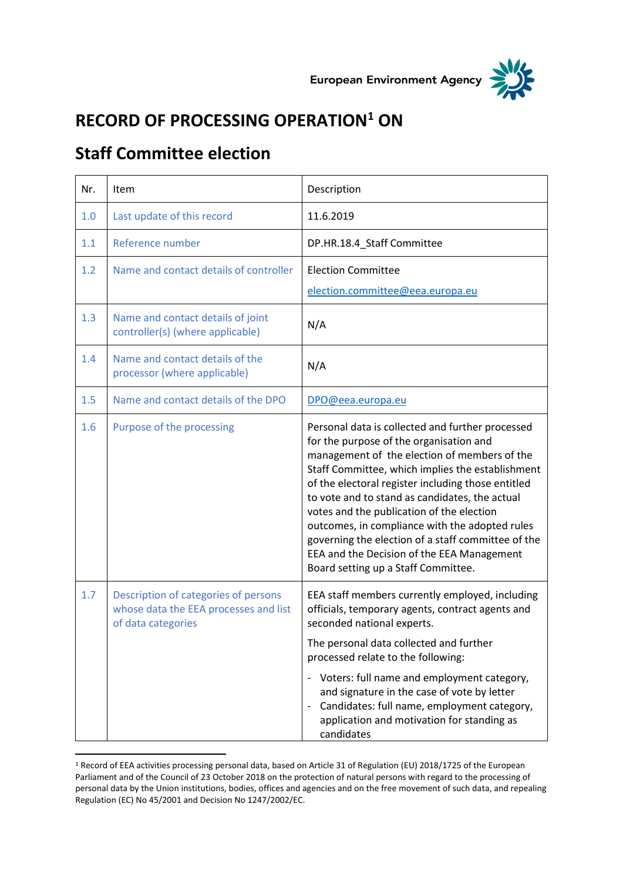



## **RECORD OF PROCESSING OPERATION<sup>1</sup> ON**

## **Staff Committee election**

 $\overline{a}$ 

| Nr. | Item                                                                                                | Description                                                                                                                                                                                                                                                                                                                                                                                                                                                                                                                                       |
|-----|-----------------------------------------------------------------------------------------------------|---------------------------------------------------------------------------------------------------------------------------------------------------------------------------------------------------------------------------------------------------------------------------------------------------------------------------------------------------------------------------------------------------------------------------------------------------------------------------------------------------------------------------------------------------|
| 1.0 | Last update of this record                                                                          | 11.6.2019                                                                                                                                                                                                                                                                                                                                                                                                                                                                                                                                         |
| 1.1 | Reference number                                                                                    | DP.HR.18.4_Staff Committee                                                                                                                                                                                                                                                                                                                                                                                                                                                                                                                        |
| 1.2 | Name and contact details of controller                                                              | <b>Election Committee</b><br>election.committee@eea.europa.eu                                                                                                                                                                                                                                                                                                                                                                                                                                                                                     |
| 1.3 | Name and contact details of joint<br>controller(s) (where applicable)                               | N/A                                                                                                                                                                                                                                                                                                                                                                                                                                                                                                                                               |
| 1.4 | Name and contact details of the<br>processor (where applicable)                                     | N/A                                                                                                                                                                                                                                                                                                                                                                                                                                                                                                                                               |
| 1.5 | Name and contact details of the DPO                                                                 | DPO@eea.europa.eu                                                                                                                                                                                                                                                                                                                                                                                                                                                                                                                                 |
| 1.6 | Purpose of the processing                                                                           | Personal data is collected and further processed<br>for the purpose of the organisation and<br>management of the election of members of the<br>Staff Committee, which implies the establishment<br>of the electoral register including those entitled<br>to vote and to stand as candidates, the actual<br>votes and the publication of the election<br>outcomes, in compliance with the adopted rules<br>governing the election of a staff committee of the<br>EEA and the Decision of the EEA Management<br>Board setting up a Staff Committee. |
| 1.7 | Description of categories of persons<br>whose data the EEA processes and list<br>of data categories | EEA staff members currently employed, including<br>officials, temporary agents, contract agents and<br>seconded national experts.<br>The personal data collected and further<br>processed relate to the following:<br>- Voters: full name and employment category,<br>and signature in the case of vote by letter<br>Candidates: full name, employment category,<br>application and motivation for standing as<br>candidates                                                                                                                      |

<sup>1</sup> Record of EEA activities processing personal data, based on Article 31 of Regulation (EU) 2018/1725 of the European Parliament and of the Council of 23 October 2018 on the protection of natural persons with regard to the processing of personal data by the Union institutions, bodies, offices and agencies and on the free movement of such data, and repealing Regulation (EC) No 45/2001 and Decision No 1247/2002/EC.